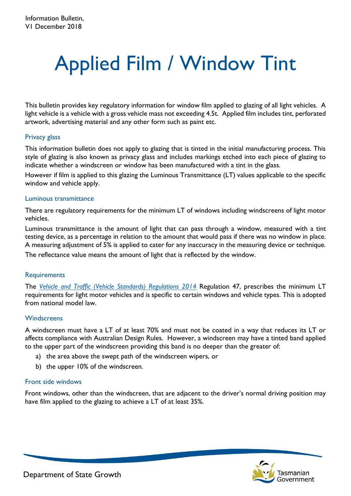# Applied Film / Window Tint

This bulletin provides key regulatory information for window film applied to glazing of all light vehicles. A light vehicle is a vehicle with a gross vehicle mass not exceeding 4.5t. Applied film includes tint, perforated artwork, advertising material and any other form such as paint etc.

### Privacy glass

This information bulletin does not apply to glazing that is tinted in the initial manufacturing process. This style of glazing is also known as privacy glass and includes markings etched into each piece of glazing to indicate whether a windscreen or window has been manufactured with a tint in the glass.

However if film is applied to this glazing the Luminous Transmittance (LT) values applicable to the specific window and vehicle apply.

### Luminous transmittance

There are regulatory requirements for the minimum LT of windows including windscreens of light motor vehicles.

Luminous transmittance is the amount of light that can pass through a window, measured with a tint testing device, as a percentage in relation to the amount that would pass if there was no window in place. A measuring adjustment of 5% is applied to cater for any inaccuracy in the measuring device or technique. The reflectance value means the amount of light that is reflected by the window.

### **Requirements**

The *Vehicle [and Traffic \(Vehicle Standards\) Regulations 2014](https://www.legislation.tas.gov.au/view/html/inforce/current/sr-2014-070)* Regulation 47, prescribes the minimum LT requirements for light motor vehicles and is specific to certain windows and vehicle types. This is adopted from national model law.

### **Windscreens**

A windscreen must have a LT of at least 70% and must not be coated in a way that reduces its LT or affects compliance with Australian Design Rules. However, a windscreen may have a tinted band applied to the upper part of the windscreen providing this band is no deeper than the greater of:

- a) the area above the swept path of the windscreen wipers, or
- b) the upper 10% of the windscreen.

### Front side windows

Front windows, other than the windscreen, that are adjacent to the driver's normal driving position may have film applied to the glazing to achieve a LT of at least 35%.



Department of State Growth